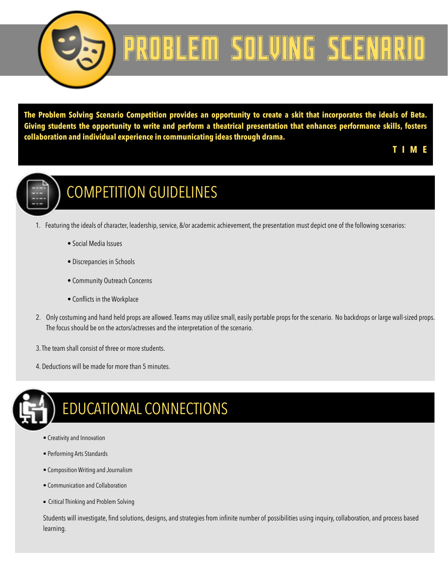

# PROBLEM SOLVING SCENARIO

**The Problem Solving Scenario Competition provides an opportunity to create a skit that incorporates the ideals of Beta. Giving students the opportunity to write and perform a theatrical presentation that enhances performance skills, fosters collaboration and individual experience in communicating ideas through drama.** 

#### **T I M E**



#### COMPETITION GUIDELINES

- 1. Featuring the ideals of character, leadership, service, &/or academic achievement, the presentation must depict one of the following scenarios:
	- Social Media Issues
	- Discrepancies in Schools
	- Community Outreach Concerns
	- Conflicts in the Workplace
- 2. Only costuming and hand held props are allowed. Teams may utilize small, easily portable props for the scenario. No backdrops or large wall-sized props. The focus should be on the actors/actresses and the interpretation of the scenario.
- 3. The team shall consist of three or more students.
- 4. Deductions will be made for more than 5 minutes.



### EDUCATIONAL CONNECTIONS

- Creativity and Innovation
- Performing Arts Standards
- Composition Writing and Journalism
- Communication and Collaboration
- Critical Thinking and Problem Solving

Students will investigate, find solutions, designs, and strategies from infinite number of possibilities using inquiry, collaboration, and process based learning.